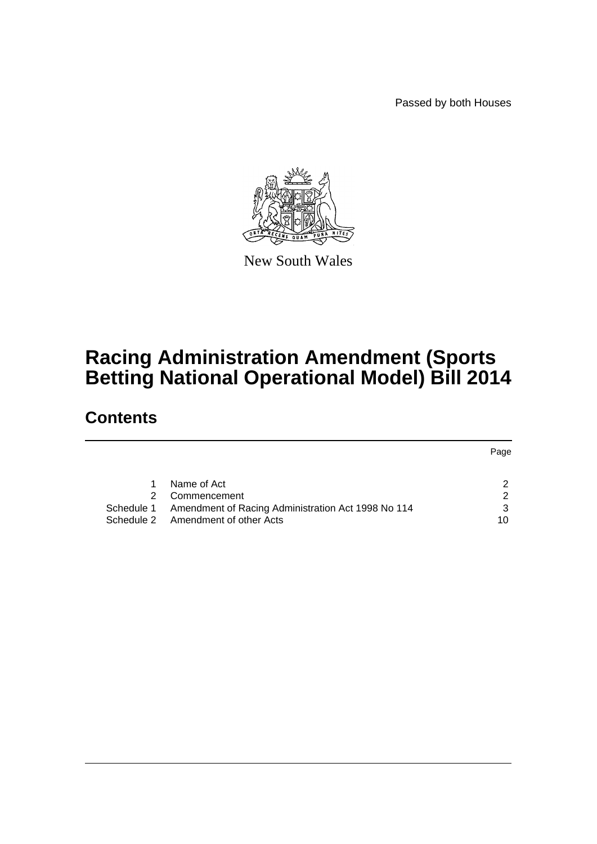Passed by both Houses



New South Wales

# **Racing Administration Amendment (Sports Betting National Operational Model) Bill 2014**

# **Contents**

|    |                                                               | Page |
|----|---------------------------------------------------------------|------|
|    |                                                               |      |
| 1. | Name of Act                                                   |      |
| 2  | Commencement                                                  |      |
|    | Schedule 1 Amendment of Racing Administration Act 1998 No 114 | 3    |
|    | Schedule 2 Amendment of other Acts                            | 10   |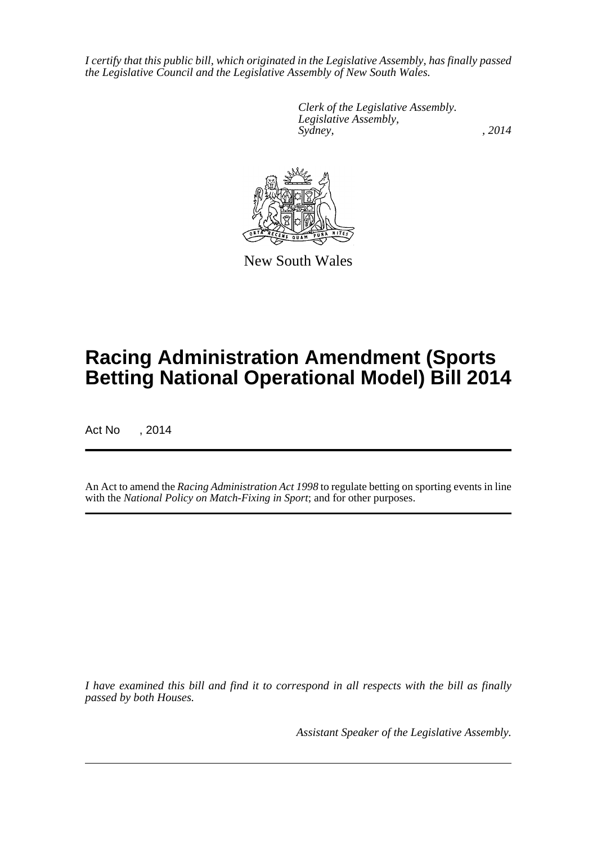*I certify that this public bill, which originated in the Legislative Assembly, has finally passed the Legislative Council and the Legislative Assembly of New South Wales.*

> *Clerk of the Legislative Assembly. Legislative Assembly, Sydney,* , 2014



New South Wales

# **Racing Administration Amendment (Sports Betting National Operational Model) Bill 2014**

Act No , 2014

An Act to amend the *Racing Administration Act 1998* to regulate betting on sporting events in line with the *National Policy on Match-Fixing in Sport*; and for other purposes.

*I have examined this bill and find it to correspond in all respects with the bill as finally passed by both Houses.*

*Assistant Speaker of the Legislative Assembly.*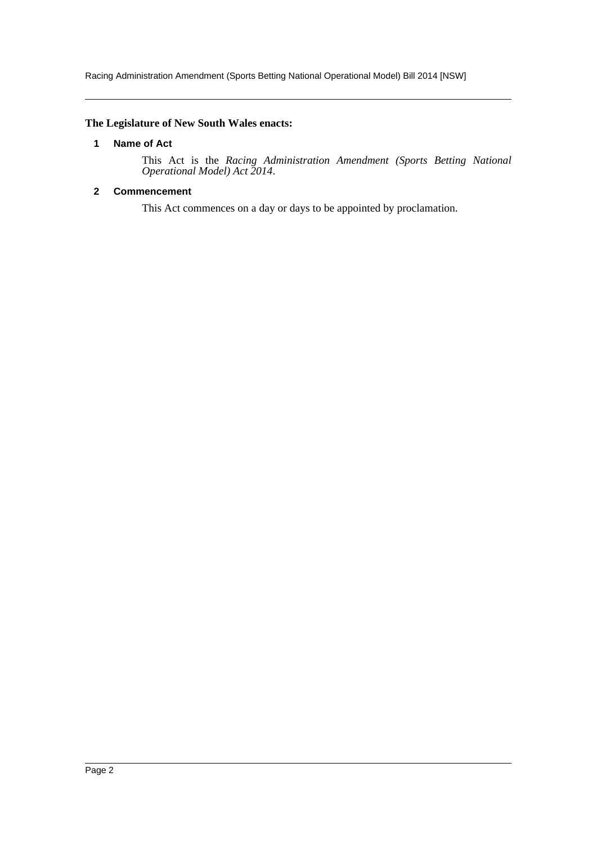Racing Administration Amendment (Sports Betting National Operational Model) Bill 2014 [NSW]

# <span id="page-2-0"></span>**The Legislature of New South Wales enacts:**

# **1 Name of Act**

This Act is the *Racing Administration Amendment (Sports Betting National Operational Model) Act 2014*.

# <span id="page-2-1"></span>**2 Commencement**

This Act commences on a day or days to be appointed by proclamation.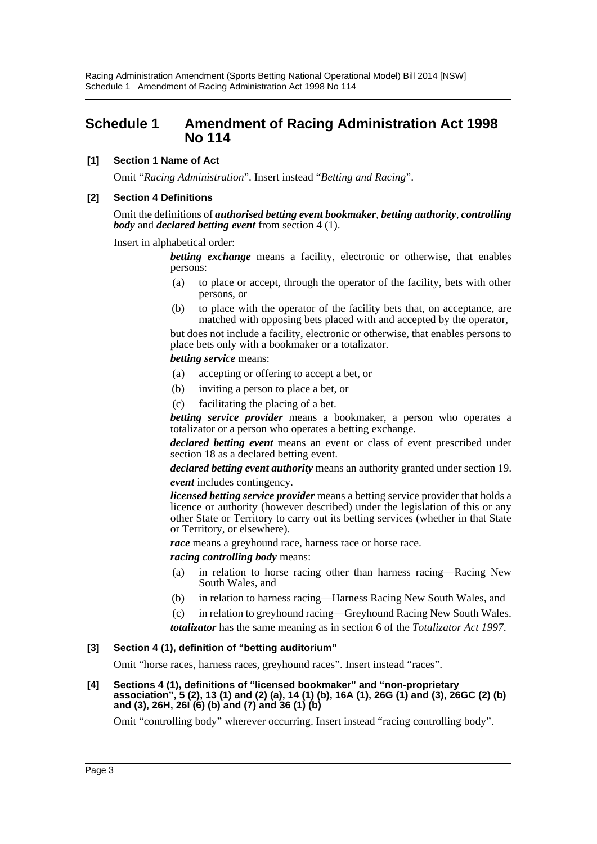Racing Administration Amendment (Sports Betting National Operational Model) Bill 2014 [NSW] Schedule 1 Amendment of Racing Administration Act 1998 No 114

# <span id="page-3-0"></span>**Schedule 1 Amendment of Racing Administration Act 1998 No 114**

#### **[1] Section 1 Name of Act**

Omit "*Racing Administration*". Insert instead "*Betting and Racing*".

#### **[2] Section 4 Definitions**

Omit the definitions of *authorised betting event bookmaker*, *betting authority*, *controlling body* and *declared betting event* from section 4 (1).

Insert in alphabetical order:

*betting exchange* means a facility, electronic or otherwise, that enables persons:

- (a) to place or accept, through the operator of the facility, bets with other persons, or
- (b) to place with the operator of the facility bets that, on acceptance, are matched with opposing bets placed with and accepted by the operator,

but does not include a facility, electronic or otherwise, that enables persons to place bets only with a bookmaker or a totalizator.

*betting service* means:

- (a) accepting or offering to accept a bet, or
- (b) inviting a person to place a bet, or
- (c) facilitating the placing of a bet.

*betting service provider* means a bookmaker, a person who operates a totalizator or a person who operates a betting exchange.

*declared betting event* means an event or class of event prescribed under section 18 as a declared betting event.

*declared betting event authority* means an authority granted under section 19. *event* includes contingency.

*licensed betting service provider* means a betting service provider that holds a licence or authority (however described) under the legislation of this or any other State or Territory to carry out its betting services (whether in that State or Territory, or elsewhere).

*race* means a greyhound race, harness race or horse race.

*racing controlling body* means:

- (a) in relation to horse racing other than harness racing—Racing New South Wales, and
- (b) in relation to harness racing—Harness Racing New South Wales, and

(c) in relation to greyhound racing—Greyhound Racing New South Wales. *totalizator* has the same meaning as in section 6 of the *Totalizator Act 1997*.

#### **[3] Section 4 (1), definition of "betting auditorium"**

Omit "horse races, harness races, greyhound races". Insert instead "races".

**[4] Sections 4 (1), definitions of "licensed bookmaker" and "non-proprietary association", 5 (2), 13 (1) and (2) (a), 14 (1) (b), 16A (1), 26G (1) and (3), 26GC (2) (b) and (3), 26H, 26I (6) (b) and (7) and 36 (1) (b)**

Omit "controlling body" wherever occurring. Insert instead "racing controlling body".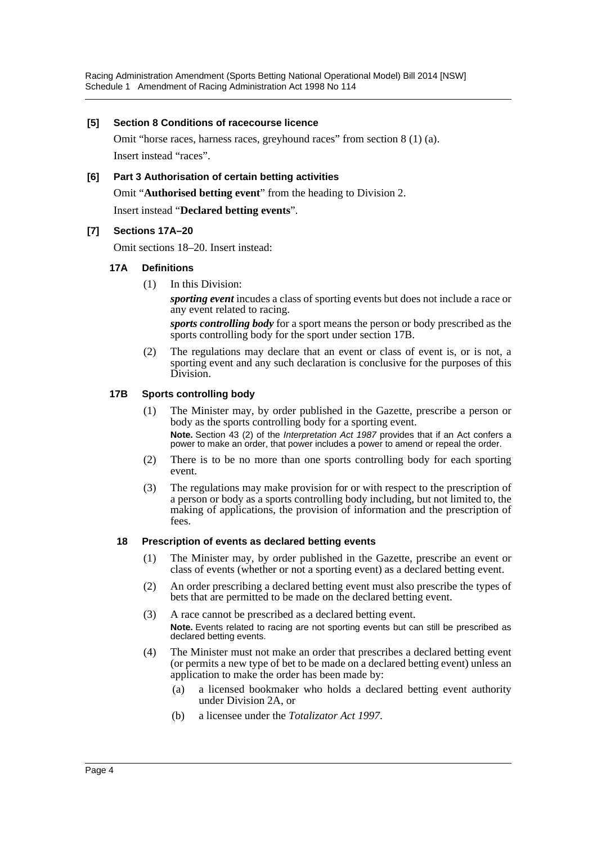Racing Administration Amendment (Sports Betting National Operational Model) Bill 2014 [NSW] Schedule 1 Amendment of Racing Administration Act 1998 No 114

#### **[5] Section 8 Conditions of racecourse licence**

Omit "horse races, harness races, greyhound races" from section 8 (1) (a). Insert instead "races".

#### **[6] Part 3 Authorisation of certain betting activities**

Omit "**Authorised betting event**" from the heading to Division 2.

Insert instead "**Declared betting events**".

#### **[7] Sections 17A–20**

Omit sections 18–20. Insert instead:

#### **17A Definitions**

(1) In this Division:

*sporting event* incudes a class of sporting events but does not include a race or any event related to racing.

*sports controlling body* for a sport means the person or body prescribed as the sports controlling body for the sport under section 17B.

(2) The regulations may declare that an event or class of event is, or is not, a sporting event and any such declaration is conclusive for the purposes of this Division.

#### **17B Sports controlling body**

- (1) The Minister may, by order published in the Gazette, prescribe a person or body as the sports controlling body for a sporting event. **Note.** Section 43 (2) of the *Interpretation Act 1987* provides that if an Act confers a power to make an order, that power includes a power to amend or repeal the order.
- (2) There is to be no more than one sports controlling body for each sporting event.
- (3) The regulations may make provision for or with respect to the prescription of a person or body as a sports controlling body including, but not limited to, the making of applications, the provision of information and the prescription of fees.

#### **18 Prescription of events as declared betting events**

- (1) The Minister may, by order published in the Gazette, prescribe an event or class of events (whether or not a sporting event) as a declared betting event.
- (2) An order prescribing a declared betting event must also prescribe the types of bets that are permitted to be made on the declared betting event.
- (3) A race cannot be prescribed as a declared betting event. **Note.** Events related to racing are not sporting events but can still be prescribed as declared betting events.
- (4) The Minister must not make an order that prescribes a declared betting event (or permits a new type of bet to be made on a declared betting event) unless an application to make the order has been made by:
	- (a) a licensed bookmaker who holds a declared betting event authority under Division 2A, or
	- (b) a licensee under the *Totalizator Act 1997*.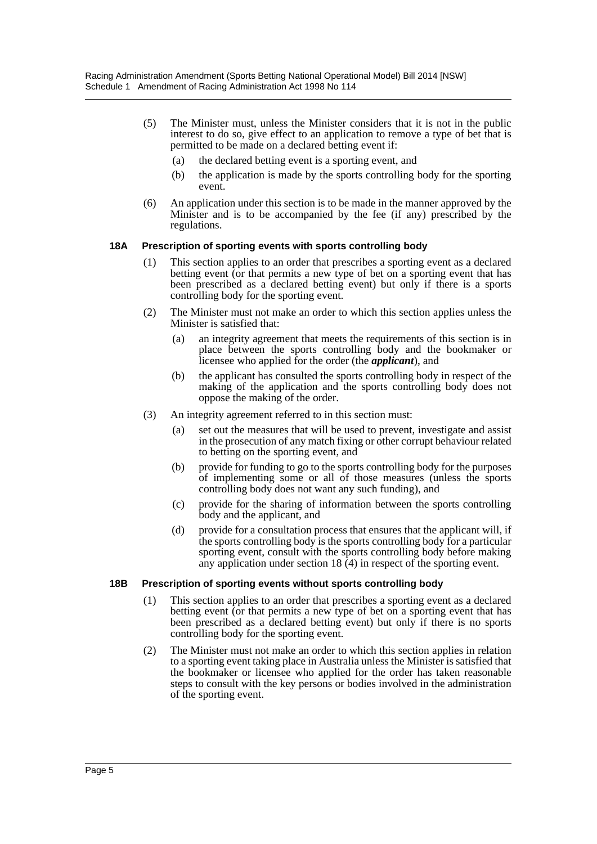- (5) The Minister must, unless the Minister considers that it is not in the public interest to do so, give effect to an application to remove a type of bet that is permitted to be made on a declared betting event if:
	- (a) the declared betting event is a sporting event, and
	- (b) the application is made by the sports controlling body for the sporting event.
- (6) An application under this section is to be made in the manner approved by the Minister and is to be accompanied by the fee (if any) prescribed by the regulations.

# **18A Prescription of sporting events with sports controlling body**

- (1) This section applies to an order that prescribes a sporting event as a declared betting event (or that permits a new type of bet on a sporting event that has been prescribed as a declared betting event) but only if there is a sports controlling body for the sporting event.
- (2) The Minister must not make an order to which this section applies unless the Minister is satisfied that:
	- (a) an integrity agreement that meets the requirements of this section is in place between the sports controlling body and the bookmaker or licensee who applied for the order (the *applicant*), and
	- (b) the applicant has consulted the sports controlling body in respect of the making of the application and the sports controlling body does not oppose the making of the order.
- (3) An integrity agreement referred to in this section must:
	- (a) set out the measures that will be used to prevent, investigate and assist in the prosecution of any match fixing or other corrupt behaviour related to betting on the sporting event, and
	- (b) provide for funding to go to the sports controlling body for the purposes of implementing some or all of those measures (unless the sports controlling body does not want any such funding), and
	- (c) provide for the sharing of information between the sports controlling body and the applicant, and
	- (d) provide for a consultation process that ensures that the applicant will, if the sports controlling body is the sports controlling body for a particular sporting event, consult with the sports controlling body before making any application under section 18 (4) in respect of the sporting event.

#### **18B Prescription of sporting events without sports controlling body**

- (1) This section applies to an order that prescribes a sporting event as a declared betting event (or that permits a new type of bet on a sporting event that has been prescribed as a declared betting event) but only if there is no sports controlling body for the sporting event.
- (2) The Minister must not make an order to which this section applies in relation to a sporting event taking place in Australia unless the Minister is satisfied that the bookmaker or licensee who applied for the order has taken reasonable steps to consult with the key persons or bodies involved in the administration of the sporting event.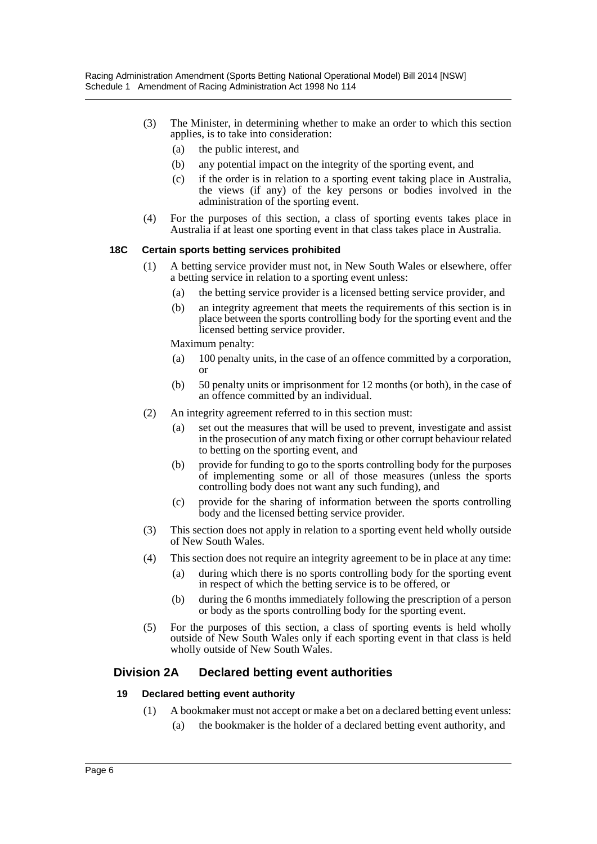- (3) The Minister, in determining whether to make an order to which this section applies, is to take into consideration:
	- (a) the public interest, and
	- (b) any potential impact on the integrity of the sporting event, and
	- (c) if the order is in relation to a sporting event taking place in Australia, the views (if any) of the key persons or bodies involved in the administration of the sporting event.
- (4) For the purposes of this section, a class of sporting events takes place in Australia if at least one sporting event in that class takes place in Australia.

# **18C Certain sports betting services prohibited**

- (1) A betting service provider must not, in New South Wales or elsewhere, offer a betting service in relation to a sporting event unless:
	- (a) the betting service provider is a licensed betting service provider, and
	- (b) an integrity agreement that meets the requirements of this section is in place between the sports controlling body for the sporting event and the licensed betting service provider.

Maximum penalty:

- (a) 100 penalty units, in the case of an offence committed by a corporation, or
- (b) 50 penalty units or imprisonment for 12 months (or both), in the case of an offence committed by an individual.
- (2) An integrity agreement referred to in this section must:
	- (a) set out the measures that will be used to prevent, investigate and assist in the prosecution of any match fixing or other corrupt behaviour related to betting on the sporting event, and
	- (b) provide for funding to go to the sports controlling body for the purposes of implementing some or all of those measures (unless the sports controlling body does not want any such funding), and
	- (c) provide for the sharing of information between the sports controlling body and the licensed betting service provider.
- (3) This section does not apply in relation to a sporting event held wholly outside of New South Wales.
- (4) This section does not require an integrity agreement to be in place at any time:
	- (a) during which there is no sports controlling body for the sporting event in respect of which the betting service is to be offered, or
	- (b) during the 6 months immediately following the prescription of a person or body as the sports controlling body for the sporting event.
- (5) For the purposes of this section, a class of sporting events is held wholly outside of New South Wales only if each sporting event in that class is held wholly outside of New South Wales.

# **Division 2A Declared betting event authorities**

#### **19 Declared betting event authority**

- (1) A bookmaker must not accept or make a bet on a declared betting event unless:
	- (a) the bookmaker is the holder of a declared betting event authority, and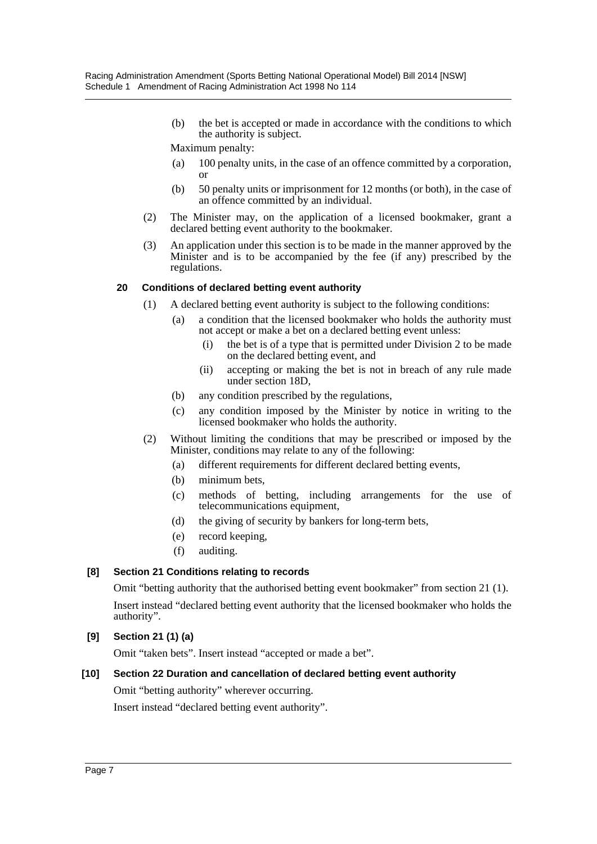(b) the bet is accepted or made in accordance with the conditions to which the authority is subject.

Maximum penalty:

- (a) 100 penalty units, in the case of an offence committed by a corporation, or
- (b) 50 penalty units or imprisonment for 12 months (or both), in the case of an offence committed by an individual.
- (2) The Minister may, on the application of a licensed bookmaker, grant a declared betting event authority to the bookmaker.
- (3) An application under this section is to be made in the manner approved by the Minister and is to be accompanied by the fee (if any) prescribed by the regulations.

# **20 Conditions of declared betting event authority**

- (1) A declared betting event authority is subject to the following conditions:
	- (a) a condition that the licensed bookmaker who holds the authority must not accept or make a bet on a declared betting event unless:
		- (i) the bet is of a type that is permitted under Division 2 to be made on the declared betting event, and
		- (ii) accepting or making the bet is not in breach of any rule made under section 18D,
	- (b) any condition prescribed by the regulations,
	- (c) any condition imposed by the Minister by notice in writing to the licensed bookmaker who holds the authority.
- (2) Without limiting the conditions that may be prescribed or imposed by the Minister, conditions may relate to any of the following:
	- (a) different requirements for different declared betting events,
	- (b) minimum bets,
	- (c) methods of betting, including arrangements for the use of telecommunications equipment,
	- (d) the giving of security by bankers for long-term bets,
	- (e) record keeping,
	- (f) auditing.

# **[8] Section 21 Conditions relating to records**

Omit "betting authority that the authorised betting event bookmaker" from section 21 (1). Insert instead "declared betting event authority that the licensed bookmaker who holds the authority".

# **[9] Section 21 (1) (a)**

Omit "taken bets". Insert instead "accepted or made a bet".

# **[10] Section 22 Duration and cancellation of declared betting event authority**

Omit "betting authority" wherever occurring.

Insert instead "declared betting event authority".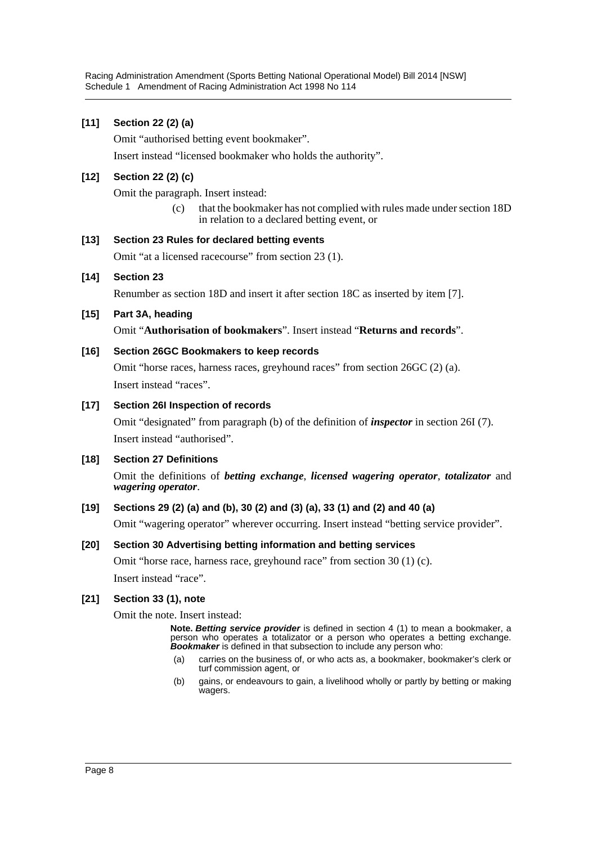# **[11] Section 22 (2) (a)**

Omit "authorised betting event bookmaker".

Insert instead "licensed bookmaker who holds the authority".

# **[12] Section 22 (2) (c)**

Omit the paragraph. Insert instead:

(c) that the bookmaker has not complied with rules made under section 18D in relation to a declared betting event, or

#### **[13] Section 23 Rules for declared betting events**

Omit "at a licensed racecourse" from section 23 (1).

#### **[14] Section 23**

Renumber as section 18D and insert it after section 18C as inserted by item [7].

# **[15] Part 3A, heading**

Omit "**Authorisation of bookmakers**". Insert instead "**Returns and records**".

# **[16] Section 26GC Bookmakers to keep records**

Omit "horse races, harness races, greyhound races" from section 26GC (2) (a). Insert instead "races".

#### **[17] Section 26I Inspection of records**

Omit "designated" from paragraph (b) of the definition of *inspector* in section 26I (7). Insert instead "authorised".

#### **[18] Section 27 Definitions**

Omit the definitions of *betting exchange*, *licensed wagering operator*, *totalizator* and *wagering operator*.

# **[19] Sections 29 (2) (a) and (b), 30 (2) and (3) (a), 33 (1) and (2) and 40 (a)**

Omit "wagering operator" wherever occurring. Insert instead "betting service provider".

#### **[20] Section 30 Advertising betting information and betting services**

Omit "horse race, harness race, greyhound race" from section 30 (1) (c). Insert instead "race".

#### **[21] Section 33 (1), note**

Omit the note. Insert instead:

**Note.** *Betting service provider* is defined in section 4 (1) to mean a bookmaker, a person who operates a totalizator or a person who operates a betting exchange. *Bookmaker* is defined in that subsection to include any person who:

- (a) carries on the business of, or who acts as, a bookmaker, bookmaker's clerk or turf commission agent, or
- (b) gains, or endeavours to gain, a livelihood wholly or partly by betting or making wagers.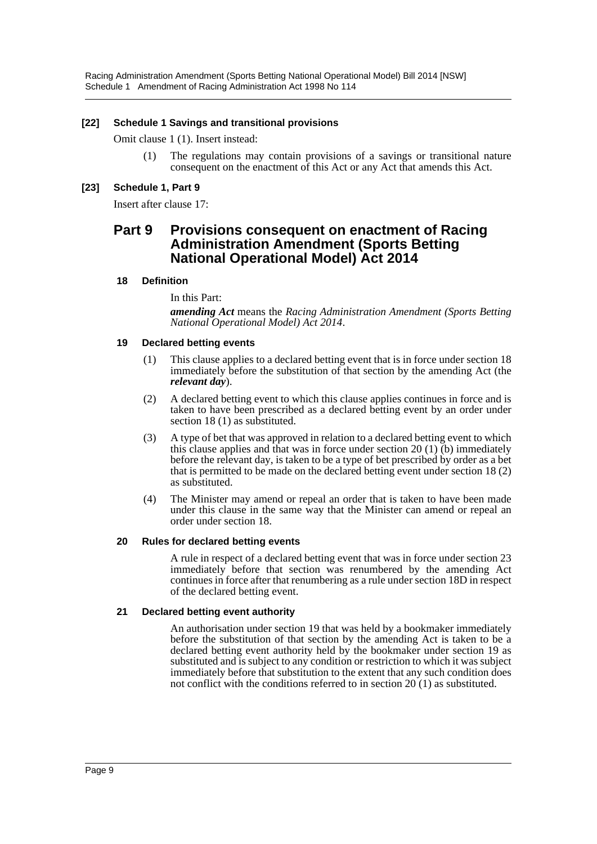Racing Administration Amendment (Sports Betting National Operational Model) Bill 2014 [NSW] Schedule 1 Amendment of Racing Administration Act 1998 No 114

#### **[22] Schedule 1 Savings and transitional provisions**

Omit clause 1 (1). Insert instead:

(1) The regulations may contain provisions of a savings or transitional nature consequent on the enactment of this Act or any Act that amends this Act.

#### **[23] Schedule 1, Part 9**

Insert after clause 17:

# **Part 9 Provisions consequent on enactment of Racing Administration Amendment (Sports Betting National Operational Model) Act 2014**

#### **18 Definition**

In this Part:

*amending Act* means the *Racing Administration Amendment (Sports Betting National Operational Model) Act 2014*.

#### **19 Declared betting events**

- (1) This clause applies to a declared betting event that is in force under section 18 immediately before the substitution of that section by the amending Act (the *relevant day*).
- (2) A declared betting event to which this clause applies continues in force and is taken to have been prescribed as a declared betting event by an order under section 18 (1) as substituted.
- (3) A type of bet that was approved in relation to a declared betting event to which this clause applies and that was in force under section 20 (1) (b) immediately before the relevant day, is taken to be a type of bet prescribed by order as a bet that is permitted to be made on the declared betting event under section 18 (2) as substituted.
- (4) The Minister may amend or repeal an order that is taken to have been made under this clause in the same way that the Minister can amend or repeal an order under section 18.

#### **20 Rules for declared betting events**

A rule in respect of a declared betting event that was in force under section 23 immediately before that section was renumbered by the amending Act continues in force after that renumbering as a rule under section 18D in respect of the declared betting event.

#### **21 Declared betting event authority**

An authorisation under section 19 that was held by a bookmaker immediately before the substitution of that section by the amending Act is taken to be a declared betting event authority held by the bookmaker under section 19 as substituted and is subject to any condition or restriction to which it was subject immediately before that substitution to the extent that any such condition does not conflict with the conditions referred to in section 20 (1) as substituted.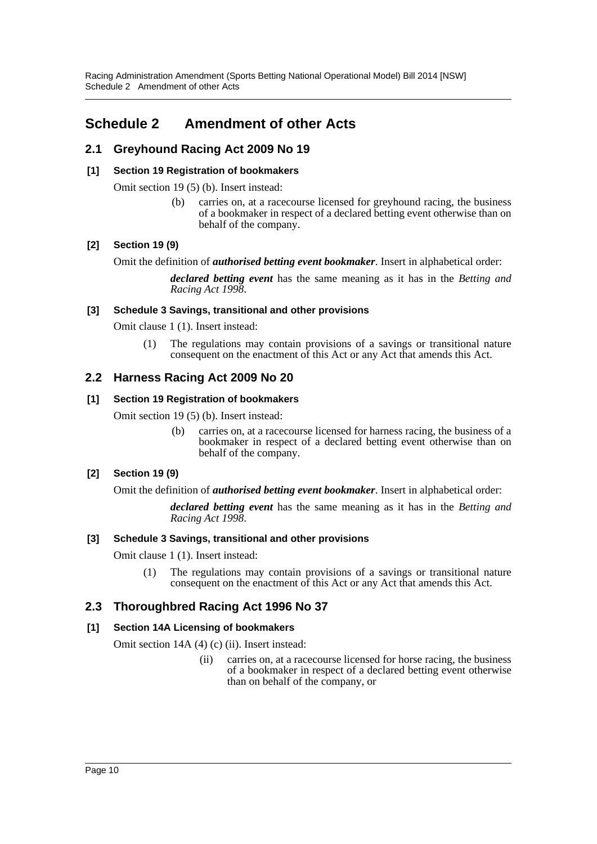Racing Administration Amendment (Sports Betting National Operational Model) Bill 2014 [NSW] Schedule 2 Amendment of other Acts

# <span id="page-10-0"></span>**Schedule 2 Amendment of other Acts**

# **2.1 Greyhound Racing Act 2009 No 19**

# **[1] Section 19 Registration of bookmakers**

Omit section 19 (5) (b). Insert instead:

(b) carries on, at a racecourse licensed for greyhound racing, the business of a bookmaker in respect of a declared betting event otherwise than on behalf of the company.

# **[2] Section 19 (9)**

Omit the definition of *authorised betting event bookmaker*. Insert in alphabetical order:

*declared betting event* has the same meaning as it has in the *Betting and Racing Act 1998*.

#### **[3] Schedule 3 Savings, transitional and other provisions**

Omit clause 1 (1). Insert instead:

(1) The regulations may contain provisions of a savings or transitional nature consequent on the enactment of this Act or any Act that amends this Act.

# **2.2 Harness Racing Act 2009 No 20**

#### **[1] Section 19 Registration of bookmakers**

Omit section 19 (5) (b). Insert instead:

(b) carries on, at a racecourse licensed for harness racing, the business of a bookmaker in respect of a declared betting event otherwise than on behalf of the company.

# **[2] Section 19 (9)**

Omit the definition of *authorised betting event bookmaker*. Insert in alphabetical order:

*declared betting event* has the same meaning as it has in the *Betting and Racing Act 1998*.

#### **[3] Schedule 3 Savings, transitional and other provisions**

Omit clause 1 (1). Insert instead:

(1) The regulations may contain provisions of a savings or transitional nature consequent on the enactment of this Act or any Act that amends this Act.

# **2.3 Thoroughbred Racing Act 1996 No 37**

#### **[1] Section 14A Licensing of bookmakers**

Omit section 14A (4) (c) (ii). Insert instead:

(ii) carries on, at a racecourse licensed for horse racing, the business of a bookmaker in respect of a declared betting event otherwise than on behalf of the company, or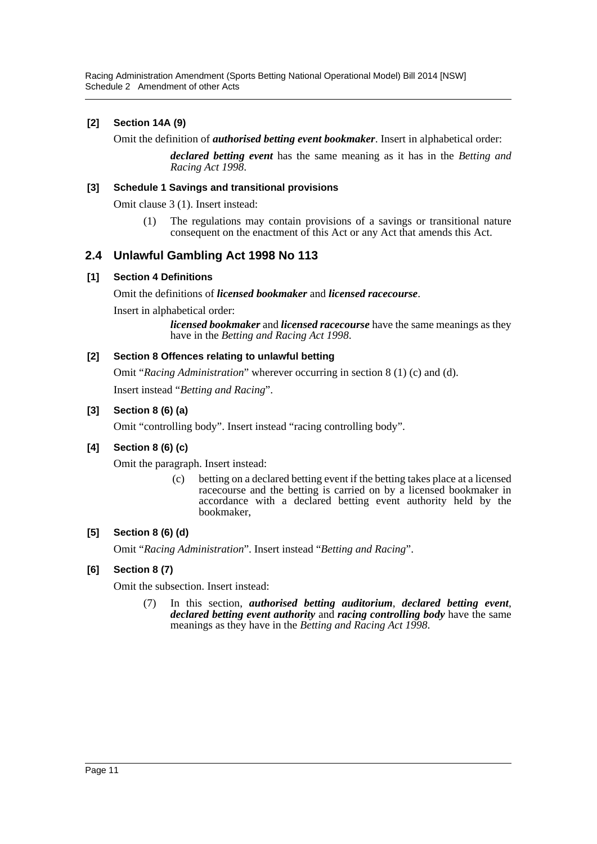Racing Administration Amendment (Sports Betting National Operational Model) Bill 2014 [NSW] Schedule 2 Amendment of other Acts

# **[2] Section 14A (9)**

Omit the definition of *authorised betting event bookmaker*. Insert in alphabetical order:

*declared betting event* has the same meaning as it has in the *Betting and Racing Act 1998*.

#### **[3] Schedule 1 Savings and transitional provisions**

Omit clause 3 (1). Insert instead:

(1) The regulations may contain provisions of a savings or transitional nature consequent on the enactment of this Act or any Act that amends this Act.

# **2.4 Unlawful Gambling Act 1998 No 113**

#### **[1] Section 4 Definitions**

Omit the definitions of *licensed bookmaker* and *licensed racecourse*.

Insert in alphabetical order:

*licensed bookmaker* and *licensed racecourse* have the same meanings as they have in the *Betting and Racing Act 1998*.

# **[2] Section 8 Offences relating to unlawful betting**

Omit "*Racing Administration*" wherever occurring in section 8 (1) (c) and (d). Insert instead "*Betting and Racing*".

# **[3] Section 8 (6) (a)**

Omit "controlling body". Insert instead "racing controlling body".

#### **[4] Section 8 (6) (c)**

Omit the paragraph. Insert instead:

(c) betting on a declared betting event if the betting takes place at a licensed racecourse and the betting is carried on by a licensed bookmaker in accordance with a declared betting event authority held by the bookmaker,

# **[5] Section 8 (6) (d)**

Omit "*Racing Administration*". Insert instead "*Betting and Racing*".

#### **[6] Section 8 (7)**

Omit the subsection. Insert instead:

(7) In this section, *authorised betting auditorium*, *declared betting event*, *declared betting event authority* and *racing controlling body* have the same meanings as they have in the *Betting and Racing Act 1998*.